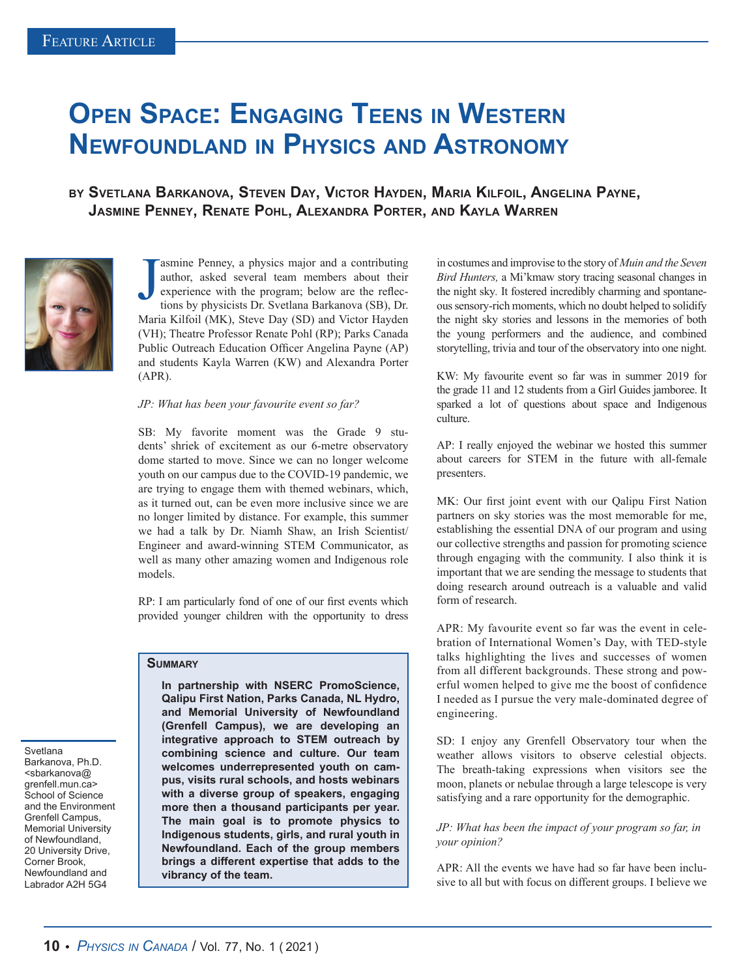# **Open Space: Engaging Teens in Western Newfoundland in Physics and Astronomy**

**by Svetlana Barkanova, Steven Day, Victor Hayden, Maria Kilfoil, Angelina Payne, Jasmine Penney, Renate Pohl, Alexandra Porter, and Kayla Warren**



J asmine Penney, a physics major and a contributing author, asked several team members about their experience with the program; below are the reflections by physicists Dr. Svetlana Barkanova (SB), Dr. Maria Kilfoil (MK), Steve Day (SD) and Victor Hayden (VH); Theatre Professor Renate Pohl (RP); Parks Canada Public Outreach Education Officer Angelina Payne (AP) and students Kayla Warren (KW) and Alexandra Porter (APR).

#### *JP: What has been your favourite event so far?*

SB: My favorite moment was the Grade 9 students' shriek of excitement as our 6-metre observatory dome started to move. Since we can no longer welcome youth on our campus due to the COVID-19 pandemic, we are trying to engage them with themed webinars, which, as it turned out, can be even more inclusive since we are no longer limited by distance. For example, this summer we had a talk by Dr. Niamh Shaw, an Irish Scientist/ Engineer and award-winning STEM Communicator, as well as many other amazing women and Indigenous role models.

RP: I am particularly fond of one of our first events which provided younger children with the opportunity to dress

## **Summary**

Svetlana Barkanova, Ph.D. <sbarkanova@ grenfell.mun.ca> School of Science and the Environment Grenfell Campus, Memorial University of Newfoundland, 20 University Drive, Corner Brook, Newfoundland and Labrador A2H 5G4

**In partnership with NSERC PromoScience, Qalipu First Nation, Parks Canada, NL Hydro, and Memorial University of Newfoundland (Grenfell Campus), we are developing an integrative approach to STEM outreach by combining science and culture. Our team welcomes underrepresented youth on campus, visits rural schools, and hosts webinars with a diverse group of speakers, engaging more then a thousand participants per year. The main goal is to promote physics to Indigenous students, girls, and rural youth in Newfoundland. Each of the group members brings a different expertise that adds to the vibrancy of the team.** 

in costumes and improvise to the story of *Muin and the Seven Bird Hunters,* a Mi'kmaw story tracing seasonal changes in the night sky*.* It fostered incredibly charming and spontaneous sensory-rich moments, which no doubt helped to solidify the night sky stories and lessons in the memories of both the young performers and the audience, and combined storytelling, trivia and tour of the observatory into one night.

KW: My favourite event so far was in summer 2019 for the grade 11 and 12 students from a Girl Guides jamboree. It sparked a lot of questions about space and Indigenous culture.

AP: I really enjoyed the webinar we hosted this summer about careers for STEM in the future with all-female presenters.

MK: Our first joint event with our Qalipu First Nation partners on sky stories was the most memorable for me, establishing the essential DNA of our program and using our collective strengths and passion for promoting science through engaging with the community. I also think it is important that we are sending the message to students that doing research around outreach is a valuable and valid form of research.

APR: My favourite event so far was the event in celebration of International Women's Day, with TED-style talks highlighting the lives and successes of women from all different backgrounds. These strong and powerful women helped to give me the boost of confidence I needed as I pursue the very male-dominated degree of engineering.

SD: I enjoy any Grenfell Observatory tour when the weather allows visitors to observe celestial objects. The breath-taking expressions when visitors see the moon, planets or nebulae through a large telescope is very satisfying and a rare opportunity for the demographic.

#### *JP: What has been the impact of your program so far, in your opinion?*

APR: All the events we have had so far have been inclusive to all but with focus on different groups. I believe we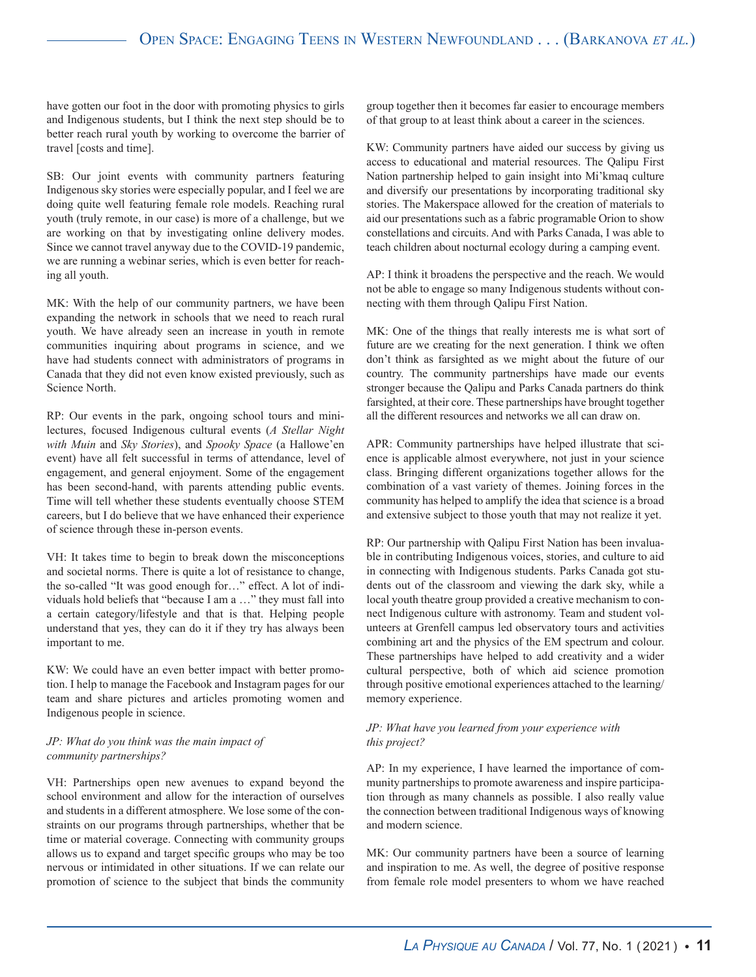have gotten our foot in the door with promoting physics to girls and Indigenous students, but I think the next step should be to better reach rural youth by working to overcome the barrier of travel [costs and time].

SB: Our joint events with community partners featuring Indigenous sky stories were especially popular, and I feel we are doing quite well featuring female role models. Reaching rural youth (truly remote, in our case) is more of a challenge, but we are working on that by investigating online delivery modes. Since we cannot travel anyway due to the COVID-19 pandemic, we are running a webinar series, which is even better for reaching all youth.

MK: With the help of our community partners, we have been expanding the network in schools that we need to reach rural youth. We have already seen an increase in youth in remote communities inquiring about programs in science, and we have had students connect with administrators of programs in Canada that they did not even know existed previously, such as Science North.

RP: Our events in the park, ongoing school tours and minilectures, focused Indigenous cultural events (*A Stellar Night with Muin* and *Sky Stories*), and *Spooky Space* (a Hallowe'en event) have all felt successful in terms of attendance, level of engagement, and general enjoyment. Some of the engagement has been second-hand, with parents attending public events. Time will tell whether these students eventually choose STEM careers, but I do believe that we have enhanced their experience of science through these in-person events.

VH: It takes time to begin to break down the misconceptions and societal norms. There is quite a lot of resistance to change, the so-called "It was good enough for…" effect. A lot of individuals hold beliefs that "because I am a …" they must fall into a certain category/lifestyle and that is that. Helping people understand that yes, they can do it if they try has always been important to me.

KW: We could have an even better impact with better promotion. I help to manage the Facebook and Instagram pages for our team and share pictures and articles promoting women and Indigenous people in science.

#### *JP: What do you think was the main impact of community partnerships?*

VH: Partnerships open new avenues to expand beyond the school environment and allow for the interaction of ourselves and students in a different atmosphere. We lose some of the constraints on our programs through partnerships, whether that be time or material coverage. Connecting with community groups allows us to expand and target specific groups who may be too nervous or intimidated in other situations. If we can relate our promotion of science to the subject that binds the community

group together then it becomes far easier to encourage members of that group to at least think about a career in the sciences.

KW: Community partners have aided our success by giving us access to educational and material resources. The Qalipu First Nation partnership helped to gain insight into Mi'kmaq culture and diversify our presentations by incorporating traditional sky stories. The Makerspace allowed for the creation of materials to aid our presentations such as a fabric programable Orion to show constellations and circuits. And with Parks Canada, I was able to teach children about nocturnal ecology during a camping event.

AP: I think it broadens the perspective and the reach. We would not be able to engage so many Indigenous students without connecting with them through Qalipu First Nation.

MK: One of the things that really interests me is what sort of future are we creating for the next generation. I think we often don't think as farsighted as we might about the future of our country. The community partnerships have made our events stronger because the Qalipu and Parks Canada partners do think farsighted, at their core. These partnerships have brought together all the different resources and networks we all can draw on.

APR: Community partnerships have helped illustrate that science is applicable almost everywhere, not just in your science class. Bringing different organizations together allows for the combination of a vast variety of themes. Joining forces in the community has helped to amplify the idea that science is a broad and extensive subject to those youth that may not realize it yet.

RP: Our partnership with Qalipu First Nation has been invaluable in contributing Indigenous voices, stories, and culture to aid in connecting with Indigenous students. Parks Canada got students out of the classroom and viewing the dark sky, while a local youth theatre group provided a creative mechanism to connect Indigenous culture with astronomy. Team and student volunteers at Grenfell campus led observatory tours and activities combining art and the physics of the EM spectrum and colour. These partnerships have helped to add creativity and a wider cultural perspective, both of which aid science promotion through positive emotional experiences attached to the learning/ memory experience.

### *JP: What have you learned from your experience with this project?*

AP: In my experience, I have learned the importance of community partnerships to promote awareness and inspire participation through as many channels as possible. I also really value the connection between traditional Indigenous ways of knowing and modern science.

MK: Our community partners have been a source of learning and inspiration to me. As well, the degree of positive response from female role model presenters to whom we have reached